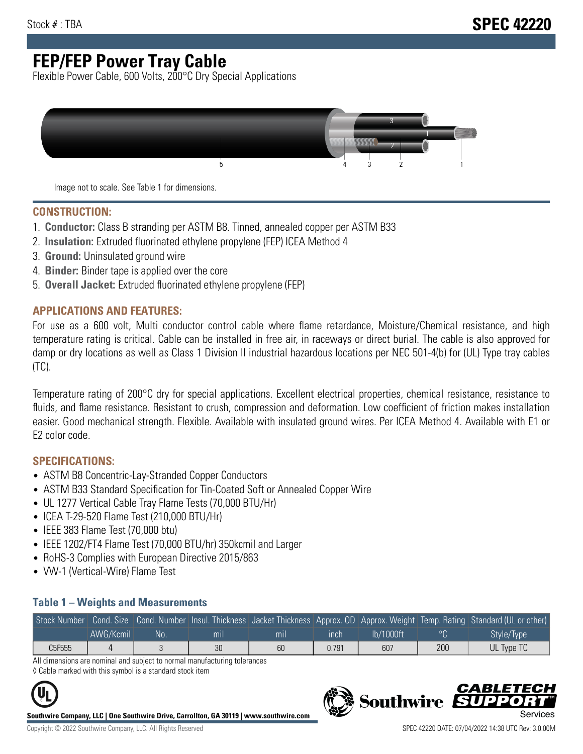# **FEP/FEP Power Tray Cable**

Flexible Power Cable, 600 Volts, 200°C Dry Special Applications



Image not to scale. See Table 1 for dimensions.

#### **CONSTRUCTION:**

- 1. **Conductor:** Class B stranding per ASTM B8. Tinned, annealed copper per ASTM B33
- 2. **Insulation:** Extruded fluorinated ethylene propylene (FEP) ICEA Method 4
- 3. **Ground:** Uninsulated ground wire
- 4. **Binder:** Binder tape is applied over the core
- 5. **Overall Jacket:** Extruded fluorinated ethylene propylene (FEP)

#### **APPLICATIONS AND FEATURES:**

For use as a 600 volt, Multi conductor control cable where flame retardance, Moisture/Chemical resistance, and high temperature rating is critical. Cable can be installed in free air, in raceways or direct burial. The cable is also approved for damp or dry locations as well as Class 1 Division II industrial hazardous locations per NEC 501-4(b) for (UL) Type tray cables (TC).

Temperature rating of 200°C dry for special applications. Excellent electrical properties, chemical resistance, resistance to fluids, and flame resistance. Resistant to crush, compression and deformation. Low coefficient of friction makes installation easier. Good mechanical strength. Flexible. Available with insulated ground wires. Per ICEA Method 4. Available with E1 or E2 color code.

### **SPECIFICATIONS:**

- ASTM B8 Concentric-Lay-Stranded Copper Conductors
- ASTM B33 Standard Specification for Tin-Coated Soft or Annealed Copper Wire
- UL 1277 Vertical Cable Tray Flame Tests (70,000 BTU/Hr)
- ICEA T-29-520 Flame Test (210,000 BTU/Hr)
- IEEE 383 Flame Test (70,000 btu)
- IEEE 1202/FT4 Flame Test (70,000 BTU/hr) 350kcmil and Larger
- RoHS-3 Complies with European Directive 2015/863
- VW-1 (Vertical-Wire) Flame Test

#### **Table 1 – Weights and Measurements**

| Stock Number |           |     |                |                |       |           |     | Cond. Size Cond. Number Insul. Thickness Jacket Thickness Approx. OD Approx. Weight Temp. Rating Standard (UL or other) |
|--------------|-----------|-----|----------------|----------------|-------|-----------|-----|-------------------------------------------------------------------------------------------------------------------------|
|              | AWG/Kcmil | No. | m <sub>l</sub> | m <sub>l</sub> | ınch  | lb/1000ft |     | Style/Type                                                                                                              |
| C5F555       |           |     | 30             | 60             | 0.791 | 607       | 200 | UL Type TC                                                                                                              |

All dimensions are nominal and subject to normal manufacturing tolerances ◊ Cable marked with this symbol is a standard stock item



**Southwire Company, LLC | One Southwire Drive, Carrollton, GA 30119 | www.southwire.com**